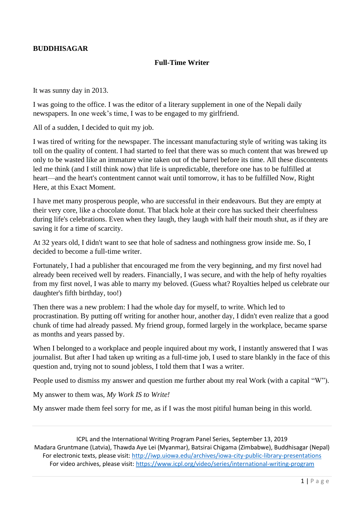## **BUDDHISAGAR**

## **Full-Time Writer**

It was sunny day in 2013.

I was going to the office. I was the editor of a literary supplement in one of the Nepali daily newspapers. In one week's time, I was to be engaged to my girlfriend.

All of a sudden, I decided to quit my job.

I was tired of writing for the newspaper. The incessant manufacturing style of writing was taking its toll on the quality of content. I had started to feel that there was so much content that was brewed up only to be wasted like an immature wine taken out of the barrel before its time. All these discontents led me think (and I still think now) that life is unpredictable, therefore one has to be fulfilled at heart—and the heart's contentment cannot wait until tomorrow, it has to be fulfilled Now, Right Here, at this Exact Moment.

I have met many prosperous people, who are successful in their endeavours. But they are empty at their very core, like a chocolate donut. That black hole at their core has sucked their cheerfulness during life's celebrations. Even when they laugh, they laugh with half their mouth shut, as if they are saving it for a time of scarcity.

At 32 years old, I didn't want to see that hole of sadness and nothingness grow inside me. So, I decided to become a full-time writer.

Fortunately, I had a publisher that encouraged me from the very beginning, and my first novel had already been received well by readers. Financially, I was secure, and with the help of hefty royalties from my first novel, I was able to marry my beloved. (Guess what? Royalties helped us celebrate our daughter's fifth birthday, too!)

Then there was a new problem: I had the whole day for myself, to write. Which led to procrastination. By putting off writing for another hour, another day, I didn't even realize that a good chunk of time had already passed. My friend group, formed largely in the workplace, became sparse as months and years passed by.

When I belonged to a workplace and people inquired about my work, I instantly answered that I was journalist. But after I had taken up writing as a full-time job, I used to stare blankly in the face of this question and, trying not to sound jobless, I told them that I was a writer.

People used to dismiss my answer and question me further about my real Work (with a capital "W").

My answer to them was, *My Work IS to Write!*

My answer made them feel sorry for me, as if I was the most pitiful human being in this world.

ICPL and the International Writing Program Panel Series, September 13, 2019 Madara Gruntmane (Latvia), Thawda Aye Lei (Myanmar), Batsirai Chigama (Zimbabwe), Buddhisagar (Nepal) For electronic texts, please visit[: http://iwp.uiowa.edu/archives/iowa-city-public-library-presentations](http://iwp.uiowa.edu/archives/iowa-city-public-library-presentations) For video archives, please visit:<https://www.icpl.org/video/series/international-writing-program>